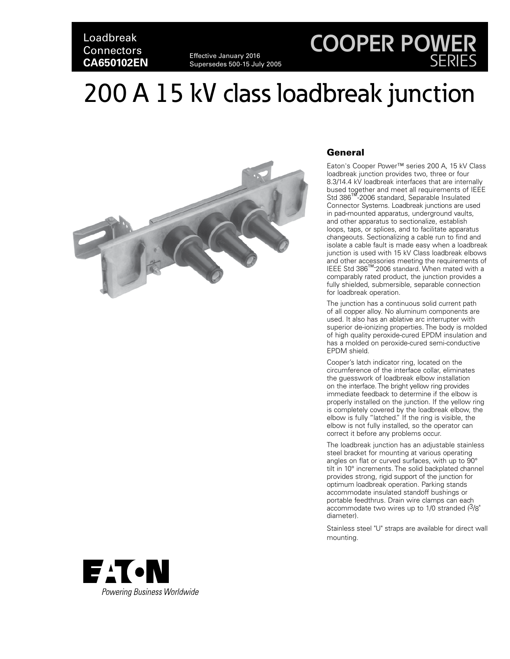## Loadbreak **Connectors**

#### **COTTTCCLOTS**<br>**CA650102EN** Effective January 2016 Supersedes 500-15 July 2005

## **COOPER POWER** SERIES

# 200 A 15 kV class loadbreak junction



#### **General**

Eaton's Cooper Power™ series 200 A, 15 kV Class loadbreak junction provides two, three or four 8.3/14.4 kV loadbreak interfaces that are internally bused together and meet all requirements of IEEE Std 386™-2006 standard, Separable Insulated Connector Systems. Loadbreak junctions are used in pad-mounted apparatus, underground vaults, and other apparatus to sectionalize, establish loops, taps, or splices, and to facilitate apparatus changeouts. Sectionalizing a cable run to find and isolate a cable fault is made easy when a loadbreak junction is used with 15 kV Class loadbreak elbows and other accessories meeting the requirements of IEEE Std 386™-2006 standard. When mated with a comparably rated product, the junction provides a fully shielded, submersible, separable connection for loadbreak operation.

The junction has a continuous solid current path of all copper alloy. No aluminum components are used. It also has an ablative arc interrupter with superior de-ionizing properties. The body is molded of high quality peroxide-cured EPDM insulation and has a molded on peroxide-cured semi-conductive EPDM shield.

Cooper's latch indicator ring, located on the circumference of the interface collar, eliminates the guesswork of loadbreak elbow installation on the interface. The bright yellow ring provides immediate feedback to determine if the elbow is properly installed on the junction. If the yellow ring is completely covered by the loadbreak elbow, the elbow is fully "latched." If the ring is visible, the elbow is not fully installed, so the operator can correct it before any problems occur.

The loadbreak junction has an adjustable stainless steel bracket for mounting at various operating angles on flat or curved surfaces, with up to 90° tilt in 10° increments. The solid backplated channel provides strong, rigid support of the junction for optimum loadbreak operation. Parking stands accommodate insulated standoff bushings or portable feedthrus. Drain wire clamps can each accommodate two wires up to 1/0 stranded (3/8" diameter).

Stainless steel "U" straps are available for direct wall mounting.

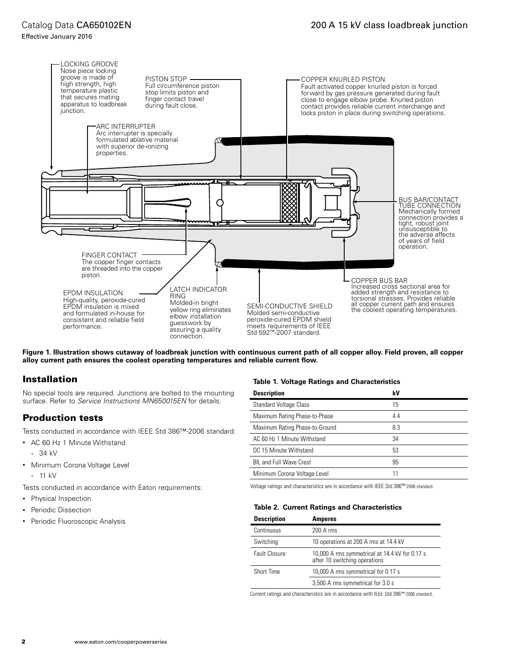#### Effective January 2016



**Figure 1. Illustration shows cutaway of loadbreak junction with continuous current path of all copper alloy. Field proven, all copper alloy current path ensures the coolest operating temperatures and reliable current flow.**

#### Installation

No special tools are required. Junctions are bolted to the mounting surface. Refer to *Service Instructions MN650015EN* for details.

#### Production tests

Tests conducted in accordance with IEEE Std 386™-2006 standard:

- AC 60 Hz 1 Minute Withstand
	- 34 kV
- Minimum Corona Voltage Level
	- 11 kV

Tests conducted in accordance with Eaton requirements:

- Physical Inspection
- Periodic Dissection
- Periodic Fluoroscopic Analysis

#### **Table 1. Voltage Ratings and Characteristics**

| <b>Description</b>             | kV  |
|--------------------------------|-----|
| <b>Standard Voltage Class</b>  | 15  |
| Maximum Rating Phase-to-Phase  | 4.4 |
| Maximum Rating Phase-to-Ground | 8.3 |
| AC 60 Hz 1 Minute Withstand    | 34  |
| DC 15 Minute Withstand         | 53  |
| <b>BIL and Full Wave Crest</b> | 95  |
| Minimum Corona Voltage Level   | 11  |

Voltage ratings and characteristics are in accordance with IEEE Std 386™-2006 standard.

#### **Table 2. Current Ratings and Characteristics**

| <b>Description</b>   | <b>Amperes</b>                                                               |
|----------------------|------------------------------------------------------------------------------|
| Continuous           | 200 A rms                                                                    |
| Switching            | 10 operations at 200 A rms at 14.4 kV                                        |
| <b>Fault Closure</b> | 10,000 A rms symmetrical at 14.4 kV for 0.17 s after 10 switching operations |
| Short Time           | 10,000 A rms symmetrical for 0.17 s                                          |
|                      | 3,500 A rms symmetrical for 3.0 s                                            |

Current ratings and characteristics are in accordance with IEEE Std 386™-2006 standard.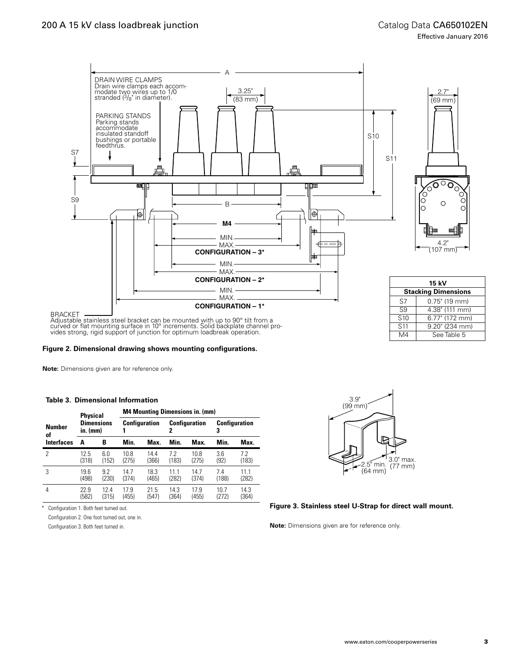See Table 5



Adjustable stainless steel bracket can be mounted with up to 90° tilt from a<br>curved or flat mounting surface in 10° increments. Solid backplate channel pro-<br>vides strong, rigid support of junction for optimum loadbreak ope

#### **Figure 2. Dimensional drawing shows mounting configurations.**

**Note:** Dimensions given are for reference only.

#### **Table 3. Dimensional Information**

|                   | <b>Physical</b>   |       | <b>M4 Mounting Dimensions in. (mm)</b> |       |                      |       |               |       |
|-------------------|-------------------|-------|----------------------------------------|-------|----------------------|-------|---------------|-------|
| <b>Number</b>     | <b>Dimensions</b> |       | <b>Configuration</b>                   |       | <b>Configuration</b> |       | Configuration |       |
| of                | in. (mm)          |       | 1                                      |       | 2                    |       | 3             |       |
| <b>Interfaces</b> | A                 | B     | Min.                                   | Max.  | Min.                 | Max.  | Min.          | Max.  |
| 2                 | 12.5              | 6.0   | 10.8                                   | 14.4  | 72                   | 10.8  | 3.6           | 7.2   |
|                   | (318)             | (152) | (275)                                  | (366) | (183)                | (275) | (92)          | (183) |
| 3                 | 19.6              | 9.2   | 14.7                                   | 18.3  | 11.1                 | 14.7  | 74            | 11.1  |
|                   | (498)             | (230) | (374)                                  | (465) | (282)                | (374) | (188)         | (282) |
| 4                 | 22.9              | 124   | 17.9                                   | 21.5  | 14.3                 | 17.9  | 10.7          | 14.3  |
|                   | (582)             | (315) | (455)                                  | (547) | (364)                | (455) | (272)         | (364) |

\* Configuration 1. Both feet turned out.

Configuration 2. One foot turned out, one in.

Configuration 3. Both feet turned in.



#### **Figure 3. Stainless steel U-Strap for direct wall mount.**

**Note:** Dimensions given are for reference only.